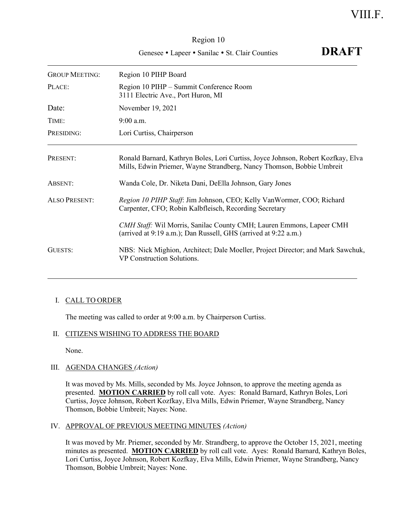# Region 10 Genesee • Lapeer • Sanilac • St. Clair Counties **DRAFT**

| <b>GROUP MEETING:</b> | Region 10 PIHP Board                                                                                                                                      |
|-----------------------|-----------------------------------------------------------------------------------------------------------------------------------------------------------|
| PLACE:                | Region 10 PIHP - Summit Conference Room<br>3111 Electric Ave., Port Huron, MI                                                                             |
| Date:                 | November 19, 2021                                                                                                                                         |
| TIME:                 | $9:00$ a.m.                                                                                                                                               |
| PRESIDING:            | Lori Curtiss, Chairperson                                                                                                                                 |
| PRESENT:              | Ronald Barnard, Kathryn Boles, Lori Curtiss, Joyce Johnson, Robert Kozfkay, Elva<br>Mills, Edwin Priemer, Wayne Strandberg, Nancy Thomson, Bobbie Umbreit |
| ABSENT:               | Wanda Cole, Dr. Niketa Dani, DeElla Johnson, Gary Jones                                                                                                   |
| <b>ALSO PRESENT:</b>  | Region 10 PIHP Staff: Jim Johnson, CEO; Kelly VanWormer, COO; Richard<br>Carpenter, CFO; Robin Kalbfleisch, Recording Secretary                           |
|                       | CMH Staff: Wil Morris, Sanilac County CMH; Lauren Emmons, Lapeer CMH<br>(arrived at 9:19 a.m.); Dan Russell, GHS (arrived at 9:22 a.m.)                   |
| GUESTS:               | NBS: Nick Mighion, Architect; Dale Moeller, Project Director; and Mark Sawchuk,<br>VP Construction Solutions.                                             |

# I. CALL TO ORDER

The meeting was called to order at 9:00 a.m. by Chairperson Curtiss.

# II. CITIZENS WISHING TO ADDRESS THE BOARD

None.

# III. AGENDA CHANGES *(Action)*

It was moved by Ms. Mills, seconded by Ms. Joyce Johnson, to approve the meeting agenda as presented. **MOTION CARRIED** by roll call vote. Ayes: Ronald Barnard, Kathryn Boles, Lori Curtiss, Joyce Johnson, Robert Kozfkay, Elva Mills, Edwin Priemer, Wayne Strandberg, Nancy Thomson, Bobbie Umbreit; Nayes: None.

# IV. APPROVAL OF PREVIOUS MEETING MINUTES *(Action)*

It was moved by Mr. Priemer, seconded by Mr. Strandberg, to approve the October 15, 2021, meeting minutes as presented. **MOTION CARRIED** by roll call vote. Ayes: Ronald Barnard, Kathryn Boles, Lori Curtiss, Joyce Johnson, Robert Kozfkay, Elva Mills, Edwin Priemer, Wayne Strandberg, Nancy Thomson, Bobbie Umbreit; Nayes: None.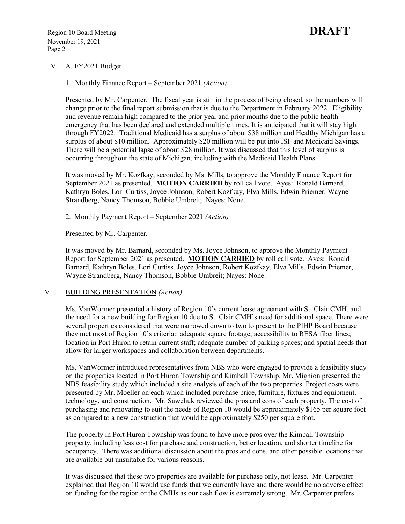### V. A. FY2021 Budget

1. Monthly Finance Report – September 2021 *(Action)*

Presented by Mr. Carpenter. The fiscal year is still in the process of being closed, so the numbers will change prior to the final report submission that is due to the Department in February 2022. Eligibility and revenue remain high compared to the prior year and prior months due to the public health emergency that has been declared and extended multiple times. It is anticipated that it will stay high through FY2022. Traditional Medicaid has a surplus of about \$38 million and Healthy Michigan has a surplus of about \$10 million. Approximately \$20 million will be put into ISF and Medicaid Savings. There will be a potential lapse of about \$28 million. It was discussed that this level of surplus is occurring throughout the state of Michigan, including with the Medicaid Health Plans.

It was moved by Mr. Kozfkay, seconded by Ms. Mills, to approve the Monthly Finance Report for September 2021 as presented. **MOTION CARRIED** by roll call vote. Ayes: Ronald Barnard, Kathryn Boles, Lori Curtiss, Joyce Johnson, Robert Kozfkay, Elva Mills, Edwin Priemer, Wayne Strandberg, Nancy Thomson, Bobbie Umbreit; Nayes: None.

2. Monthly Payment Report – September 2021 *(Action)*

Presented by Mr. Carpenter.

It was moved by Mr. Barnard, seconded by Ms. Joyce Johnson, to approve the Monthly Payment Report for September 2021 as presented. **MOTION CARRIED** by roll call vote. Ayes: Ronald Barnard, Kathryn Boles, Lori Curtiss, Joyce Johnson, Robert Kozfkay, Elva Mills, Edwin Priemer, Wayne Strandberg, Nancy Thomson, Bobbie Umbreit; Nayes: None.

#### VI. BUILDING PRESENTATION *(Action)*

Ms. VanWormer presented a history of Region 10's current lease agreement with St. Clair CMH, and the need for a new building for Region 10 due to St. Clair CMH's need for additional space. There were several properties considered that were narrowed down to two to present to the PIHP Board because they met most of Region 10's criteria: adequate square footage; accessibility to RESA fiber lines; location in Port Huron to retain current staff; adequate number of parking spaces; and spatial needs that allow for larger workspaces and collaboration between departments.

Ms. VanWormer introduced representatives from NBS who were engaged to provide a feasibility study on the properties located in Port Huron Township and Kimball Township. Mr. Mighion presented the NBS feasibility study which included a site analysis of each of the two properties. Project costs were presented by Mr. Moeller on each which included purchase price, furniture, fixtures and equipment, technology, and construction. Mr. Sawchuk reviewed the pros and cons of each property. The cost of purchasing and renovating to suit the needs of Region 10 would be approximately \$165 per square foot as compared to a new construction that would be approximately \$250 per square foot.

The property in Port Huron Township was found to have more pros over the Kimball Township property, including less cost for purchase and construction, better location, and shorter timeline for occupancy. There was additional discussion about the pros and cons, and other possible locations that are available but unsuitable for various reasons.

It was discussed that these two properties are available for purchase only, not lease. Mr. Carpenter explained that Region 10 would use funds that we currently have and there would be no adverse effect on funding for the region or the CMHs as our cash flow is extremely strong. Mr. Carpenter prefers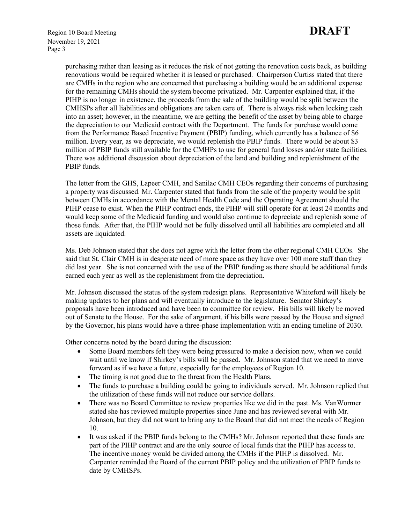purchasing rather than leasing as it reduces the risk of not getting the renovation costs back, as building renovations would be required whether it is leased or purchased. Chairperson Curtiss stated that there are CMHs in the region who are concerned that purchasing a building would be an additional expense for the remaining CMHs should the system become privatized. Mr. Carpenter explained that, if the PIHP is no longer in existence, the proceeds from the sale of the building would be split between the CMHSPs after all liabilities and obligations are taken care of. There is always risk when locking cash into an asset; however, in the meantime, we are getting the benefit of the asset by being able to charge the depreciation to our Medicaid contract with the Department. The funds for purchase would come from the Performance Based Incentive Payment (PBIP) funding, which currently has a balance of \$6 million. Every year, as we depreciate, we would replenish the PBIP funds. There would be about \$3 million of PBIP funds still available for the CMHPs to use for general fund losses and/or state facilities. There was additional discussion about depreciation of the land and building and replenishment of the PBIP funds.

The letter from the GHS, Lapeer CMH, and Sanilac CMH CEOs regarding their concerns of purchasing a property was discussed. Mr. Carpenter stated that funds from the sale of the property would be split between CMHs in accordance with the Mental Health Code and the Operating Agreement should the PIHP cease to exist. When the PIHP contract ends, the PIHP will still operate for at least 24 months and would keep some of the Medicaid funding and would also continue to depreciate and replenish some of those funds. After that, the PIHP would not be fully dissolved until all liabilities are completed and all assets are liquidated.

Ms. Deb Johnson stated that she does not agree with the letter from the other regional CMH CEOs. She said that St. Clair CMH is in desperate need of more space as they have over 100 more staff than they did last year. She is not concerned with the use of the PBIP funding as there should be additional funds earned each year as well as the replenishment from the depreciation.

Mr. Johnson discussed the status of the system redesign plans. Representative Whiteford will likely be making updates to her plans and will eventually introduce to the legislature. Senator Shirkey's proposals have been introduced and have been to committee for review. His bills will likely be moved out of Senate to the House. For the sake of argument, if his bills were passed by the House and signed by the Governor, his plans would have a three-phase implementation with an ending timeline of 2030.

Other concerns noted by the board during the discussion:

- Some Board members felt they were being pressured to make a decision now, when we could wait until we know if Shirkey's bills will be passed. Mr. Johnson stated that we need to move forward as if we have a future, especially for the employees of Region 10.
- The timing is not good due to the threat from the Health Plans.
- The funds to purchase a building could be going to individuals served. Mr. Johnson replied that the utilization of these funds will not reduce our service dollars.
- There was no Board Committee to review properties like we did in the past. Ms. VanWormer stated she has reviewed multiple properties since June and has reviewed several with Mr. Johnson, but they did not want to bring any to the Board that did not meet the needs of Region 10.
- It was asked if the PBIP funds belong to the CMHs? Mr. Johnson reported that these funds are part of the PIHP contract and are the only source of local funds that the PIHP has access to. The incentive money would be divided among the CMHs if the PIHP is dissolved. Mr. Carpenter reminded the Board of the current PBIP policy and the utilization of PBIP funds to date by CMHSPs.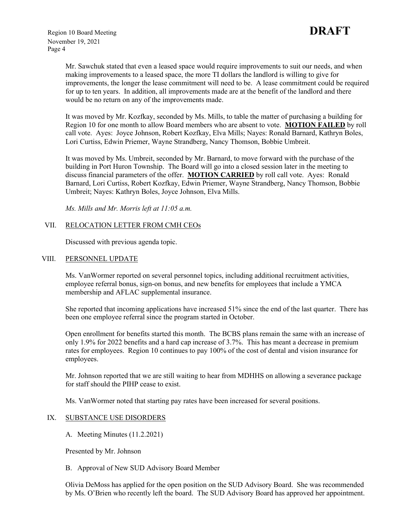Mr. Sawchuk stated that even a leased space would require improvements to suit our needs, and when making improvements to a leased space, the more TI dollars the landlord is willing to give for improvements, the longer the lease commitment will need to be. A lease commitment could be required for up to ten years. In addition, all improvements made are at the benefit of the landlord and there would be no return on any of the improvements made.

It was moved by Mr. Kozfkay, seconded by Ms. Mills, to table the matter of purchasing a building for Region 10 for one month to allow Board members who are absent to vote. **MOTION FAILED** by roll call vote. Ayes: Joyce Johnson, Robert Kozfkay, Elva Mills; Nayes: Ronald Barnard, Kathryn Boles, Lori Curtiss, Edwin Priemer, Wayne Strandberg, Nancy Thomson, Bobbie Umbreit.

It was moved by Ms. Umbreit, seconded by Mr. Barnard, to move forward with the purchase of the building in Port Huron Township. The Board will go into a closed session later in the meeting to discuss financial parameters of the offer. **MOTION CARRIED** by roll call vote. Ayes: Ronald Barnard, Lori Curtiss, Robert Kozfkay, Edwin Priemer, Wayne Strandberg, Nancy Thomson, Bobbie Umbreit; Nayes: Kathryn Boles, Joyce Johnson, Elva Mills.

*Ms. Mills and Mr. Morris left at 11:05 a.m.*

### VII. RELOCATION LETTER FROM CMH CEOS

Discussed with previous agenda topic.

#### VIII. PERSONNEL UPDATE

Ms. VanWormer reported on several personnel topics, including additional recruitment activities, employee referral bonus, sign-on bonus, and new benefits for employees that include a YMCA membership and AFLAC supplemental insurance.

She reported that incoming applications have increased 51% since the end of the last quarter. There has been one employee referral since the program started in October.

Open enrollment for benefits started this month. The BCBS plans remain the same with an increase of only 1.9% for 2022 benefits and a hard cap increase of 3.7%. This has meant a decrease in premium rates for employees. Region 10 continues to pay 100% of the cost of dental and vision insurance for employees.

Mr. Johnson reported that we are still waiting to hear from MDHHS on allowing a severance package for staff should the PIHP cease to exist.

Ms. VanWormer noted that starting pay rates have been increased for several positions.

#### IX. SUBSTANCE USE DISORDERS

A. Meeting Minutes (11.2.2021)

Presented by Mr. Johnson

#### B. Approval of New SUD Advisory Board Member

Olivia DeMoss has applied for the open position on the SUD Advisory Board. She was recommended by Ms. O'Brien who recently left the board. The SUD Advisory Board has approved her appointment.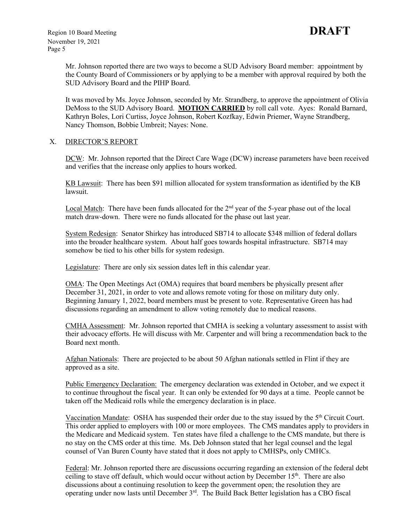Mr. Johnson reported there are two ways to become a SUD Advisory Board member: appointment by the County Board of Commissioners or by applying to be a member with approval required by both the SUD Advisory Board and the PIHP Board.

It was moved by Ms. Joyce Johnson, seconded by Mr. Strandberg, to approve the appointment of Olivia DeMoss to the SUD Advisory Board. **MOTION CARRIED** by roll call vote. Ayes: Ronald Barnard, Kathryn Boles, Lori Curtiss, Joyce Johnson, Robert Kozfkay, Edwin Priemer, Wayne Strandberg, Nancy Thomson, Bobbie Umbreit; Nayes: None.

#### X. DIRECTOR'S REPORT

DCW: Mr. Johnson reported that the Direct Care Wage (DCW) increase parameters have been received and verifies that the increase only applies to hours worked.

KB Lawsuit: There has been \$91 million allocated for system transformation as identified by the KB lawsuit.

Local Match: There have been funds allocated for the 2<sup>nd</sup> year of the 5-year phase out of the local match draw-down. There were no funds allocated for the phase out last year.

System Redesign: Senator Shirkey has introduced SB714 to allocate \$348 million of federal dollars into the broader healthcare system. About half goes towards hospital infrastructure. SB714 may somehow be tied to his other bills for system redesign.

Legislature: There are only six session dates left in this calendar year.

OMA: The Open Meetings Act (OMA) requires that board members be physically present after December 31, 2021, in order to vote and allows remote voting for those on military duty only. Beginning January 1, 2022, board members must be present to vote. Representative Green has had discussions regarding an amendment to allow voting remotely due to medical reasons.

CMHA Assessment: Mr. Johnson reported that CMHA is seeking a voluntary assessment to assist with their advocacy efforts. He will discuss with Mr. Carpenter and will bring a recommendation back to the Board next month.

Afghan Nationals: There are projected to be about 50 Afghan nationals settled in Flint if they are approved as a site.

Public Emergency Declaration: The emergency declaration was extended in October, and we expect it to continue throughout the fiscal year. It can only be extended for 90 days at a time. People cannot be taken off the Medicaid rolls while the emergency declaration is in place.

Vaccination Mandate: OSHA has suspended their order due to the stay issued by the 5<sup>th</sup> Circuit Court. This order applied to employers with 100 or more employees. The CMS mandates apply to providers in the Medicare and Medicaid system. Ten states have filed a challenge to the CMS mandate, but there is no stay on the CMS order at this time. Ms. Deb Johnson stated that her legal counsel and the legal counsel of Van Buren County have stated that it does not apply to CMHSPs, only CMHCs.

Federal: Mr. Johnson reported there are discussions occurring regarding an extension of the federal debt ceiling to stave off default, which would occur without action by December  $15<sup>th</sup>$ . There are also discussions about a continuing resolution to keep the government open; the resolution they are operating under now lasts until December 3rd. The Build Back Better legislation has a CBO fiscal